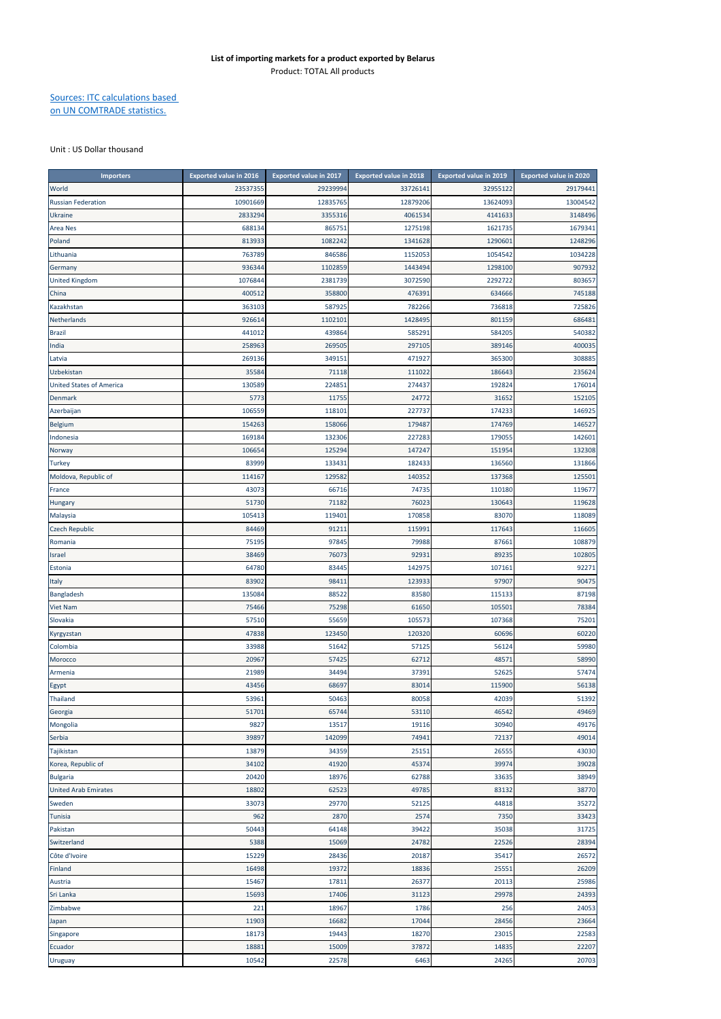## Sources: ITC calculations based on UN COMTRADE statistics.

## Unit : US Dollar thousand

| <b>Importers</b>                | <b>Exported value in 2016</b> | <b>Exported value in 2017</b> | <b>Exported value in 2018</b> | <b>Exported value in 2019</b> | <b>Exported value in 2020</b> |
|---------------------------------|-------------------------------|-------------------------------|-------------------------------|-------------------------------|-------------------------------|
| World                           | 23537355                      | 29239994                      | 33726141                      | 32955122                      | 29179441                      |
| <b>Russian Federation</b>       | 10901669                      | 12835765                      | 12879206                      | 13624093                      | 13004542                      |
| <b>Ukraine</b>                  | 2833294                       | 3355316                       | 4061534                       | 4141633                       | 3148496                       |
| <b>Area Nes</b>                 | 688134                        | 865751                        | 1275198                       | 1621735                       | 1679341                       |
| Poland                          | 813933                        | 1082242                       | 1341628                       | 1290601                       | 1248296                       |
| Lithuania                       | 763789                        | 846586                        | 1152053                       | 1054542                       | 1034228                       |
| Germany                         | 936344                        | 1102859                       | 1443494                       | 1298100                       | 907932                        |
| <b>United Kingdom</b>           | 1076844                       | 2381739                       | 3072590                       | 2292722                       | 803657                        |
| China                           | 400512                        | 358800                        | 476391                        | 634666                        | 745188                        |
| Kazakhstan                      | 363103                        | 587925                        | 782266                        | 736818                        | 725826                        |
| Netherlands                     | 926614                        | 1102101                       | 1428495                       | 801159                        | 686481                        |
| <b>Brazil</b>                   | 441012                        | 439864                        | 585291                        | 584205                        | 540382                        |
| India                           | 258963                        | 269505                        | 297105                        | 389146                        | 400035                        |
| Latvia                          | 269136                        | 349151                        | 471927                        | 365300                        | 308885                        |
| Uzbekistan                      | 35584                         | 71118                         | 111022                        | 186643                        | 235624                        |
| <b>United States of America</b> | 130589                        | 224851                        | 274437                        | 192824                        | 176014                        |
| Denmark                         | 5773                          | 11755                         | 24772                         | 31652                         | 152105                        |
| Azerbaijan                      | 106559                        | 118101                        | 227737                        | 174233                        | 146925                        |
| Belgium                         | 154263                        | 158066                        | 179487                        | 174769                        | 146527                        |
| Indonesia                       | 169184                        | 132306                        | 227283                        | 179055                        | 142601                        |
| Norway                          | 106654                        | 125294                        | 147247                        | 151954                        | 132308                        |
| <b>Turkey</b>                   | 83999                         | 133431                        | 182433                        | 136560                        | 131866                        |
| Moldova, Republic of            |                               | 129582                        | 140352                        | 137368                        | 12550                         |
|                                 | 114167                        |                               |                               |                               |                               |
| France                          | 43073<br>51730                | 66716                         | 74735<br>76023                | 110180                        | 11967                         |
| Hungary                         |                               | 71182                         |                               | 130643                        | 119628                        |
| Malaysia                        | 105413                        | 119401                        | 170858                        | 83070                         | 118089                        |
| <b>Czech Republic</b>           | 84469                         | 91211                         | 115991                        | 117643                        | 116605                        |
| Romania                         | 75195                         | 97845                         | 79988                         | 87661                         | 108879                        |
| Israel                          | 38469                         | 76073                         | 92931                         | 89235                         | 102805                        |
| Estonia                         | 64780                         | 83445                         | 142975                        | 107161                        | 92271                         |
| Italy                           | 83902                         | 98411                         | 123933                        | 97907                         | 90475                         |
| Bangladesh                      | 13508                         | 88522                         | 83580                         | 115133                        | 87198                         |
| <b>Viet Nam</b>                 | 75466                         | 75298                         | 61650                         | 10550                         | 78384                         |
| Slovakia                        | 57510                         | 55659                         | 105573                        | 107368                        | 75201                         |
| Kyrgyzstan                      | 47838                         | 123450                        | 120320                        | 60696                         | 60220                         |
| Colombia                        | 33988                         | 51642                         | 57125                         | 56124                         | 59980                         |
| Morocco                         | 20967                         | 57425                         | 62712                         | 48571                         | 58990                         |
| Armenia                         | 21989                         | 34494                         | 37391                         | 52625                         | 57474                         |
| Egypt                           | 43456                         | 68697                         | 83014                         | 115900                        | 56138                         |
| Thailand                        | 53961                         | 50463                         | 80058                         | 42039                         | 51392                         |
| Georgia                         | 51701                         | 65744                         | 53110                         | 46542                         | 49469                         |
| Mongolia                        | 9827                          | 13517                         | 19116                         | 30940                         | 49176                         |
| Serbia                          | 39897                         | 142099                        | 74941                         | 72137                         | 49014                         |
| Tajikistan                      | 13879                         | 34359                         | 25151                         | 26555                         | 43030                         |
| Korea, Republic of              | 34102                         | 41920                         | 45374                         | 39974                         | 39028                         |
| <b>Bulgaria</b>                 | 20420                         | 18976                         | 62788                         | 33635                         | 38949                         |
| <b>United Arab Emirates</b>     | 18802                         | 62523                         | 49785                         | 83132                         | 38770                         |
| Sweden                          | 33073                         | 29770                         | 52125                         | 44818                         | 35272                         |
| Tunisia                         | 962                           | 2870                          | 2574                          | 7350                          | 33423                         |
| Pakistan                        | 50443                         | 64148                         | 39422                         | 35038                         | 31725                         |
| Switzerland                     | 5388                          | 15069                         | 24782                         | 22526                         | 28394                         |
| Côte d'Ivoire                   | 15229                         | 28436                         | 20187                         | 35417                         | 26572                         |
| Finland                         | 16498                         | 19372                         | 18836                         | 25551                         | 26209                         |
| Austria                         | 15467                         | 17811                         | 26377                         | 20113                         | 25986                         |
| Sri Lanka                       | 15693                         | 17406                         | 31123                         | 29978                         | 24393                         |
| Zimbabwe                        | 221                           | 18967                         | 1786                          | 256                           | 24053                         |
| Japan                           | 11903                         | 16682                         | 17044                         | 28456                         | 23664                         |
| Singapore                       | 18173                         | 19443                         | 18270                         | 23015                         | 22583                         |
| Ecuador                         | 18881                         | 15009                         | 37872                         | 14835                         | 22207                         |
| Uruguay                         | 10542                         | 22578                         | 6463                          | 24265                         | 20703                         |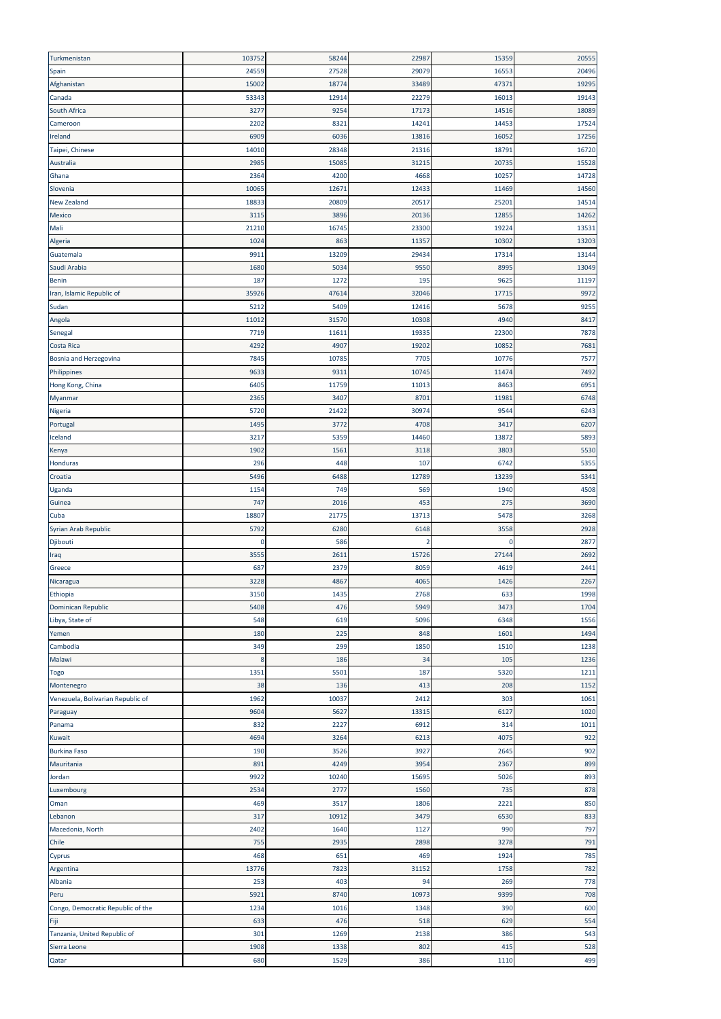| Turkmenistan                      | 103752      | 58244        | 22987      | 15359       | 20555      |
|-----------------------------------|-------------|--------------|------------|-------------|------------|
| Spain                             | 24559       | 27528        | 29079      | 16553       | 20496      |
| Afghanistan                       | 15002       | 18774        | 33489      | 47371       | 19295      |
| Canada                            | 53343       | 12914        | 22279      | 16013       | 19143      |
| South Africa                      | 3277        | 9254         | 17173      | 14516       | 18089      |
| Cameroon                          | 2202        | 8321         | 14241      | 14453       | 17524      |
| Ireland                           | 6909        | 6036         | 13816      | 16052       | 17256      |
| Taipei, Chinese                   | 14010       | 28348        | 21316      | 18791       | 16720      |
| Australia                         | 2985        | 15085        | 31215      | 20735       | 15528      |
| Ghana                             | 2364        | 4200         | 4668       | 10257       | 14728      |
| Slovenia                          | 10065       | 12671        | 12433      | 11469       | 14560      |
| <b>New Zealand</b>                | 18833       | 20809        | 20517      | 25201       | 14514      |
| Mexico                            | 3115        | 3896         | 20136      | 12855       | 14262      |
| Mali                              | 21210       | 16745        | 23300      | 19224       | 13531      |
| Algeria                           | 1024        | 863          | 11357      | 10302       | 13203      |
| Guatemala                         | 9911        | 13209        | 29434      | 17314       | 13144      |
| Saudi Arabia                      | 1680        | 5034         | 9550       | 8995        | 13049      |
| <b>Benin</b>                      | 187         | 1272         | 195        | 9625        | 11197      |
| Iran, Islamic Republic of         | 35926       | 47614        | 32046      | 17715       | 9972       |
| Sudan                             | 5212        | 5409         | 12416      | 5678        | 9255       |
| Angola                            | 11012       | 31570        | 10308      | 4940        | 8417       |
| Senegal                           | 7719        | 11611        | 19335      | 22300       | 7878       |
| Costa Rica                        | 4292        | 4907         | 19202      | 10852       | 7681       |
| Bosnia and Herzegovina            | 7845        | 10785        | 7705       | 10776       | 7577       |
| Philippines                       | 9633        | 9311         | 10745      | 11474       | 7492       |
| Hong Kong, China                  | 6405        | 11759        | 11013      | 8463        | 6951       |
| Myanmar                           | 2365        | 3407         | 8701       | 11981       | 6748       |
| Nigeria                           | 5720        | 21422        | 30974      | 9544        | 6243       |
| Portugal                          | 1495        | 3772         | 4708       | 3417        | 6207       |
| Iceland                           | 3217        | 5359         | 14460      | 13872       | 5893       |
| Kenya                             | 1902        | 1561         | 3118       | 3803        | 5530       |
| Honduras                          | 296         | 448          | 107        | 6742        | 5355       |
| Croatia                           | 5496        | 6488         | 12789      | 13239       | 5341       |
| Uganda                            | 1154        | 749          | 569        | 1940        | 4508       |
| Guinea                            | 747         | 2016         | 453        | 275         | 3690       |
| Cuba                              | 18807       | 21775        | 13713      | 5478        | 3268       |
| Syrian Arab Republic              | 5792        | 6280         | 6148       | 3558        | 2928       |
| Djibouti                          | 0           | 586          | 2          | $\Omega$    | 2877       |
| Iraq                              | 3555        | 2611         | 15726      | 27144       | 2692       |
| Greece                            | 687         | 2379         | 8059       | 4619        | 2441       |
| Nicaragua                         | 3228        | 4867         | 4065       | 1426        | 2267       |
| Ethiopia                          | 3150        | 1435         | 2768       | 633         | 1998       |
| <b>Dominican Republic</b>         | 5408        | 476          | 5949       | 3473        | 1704       |
| Libya, State of                   | 548         | 619          | 5096       | 6348        | 1556       |
| Yemen                             | 180         | 225          | 848        | 1601        | 1494       |
| Cambodia                          | 349         | 299          | 1850       | 1510        | 1238       |
| Malawi                            | 8           | 186          | 34         | 105         | 1236       |
| Togo                              | 1351        | 5501         | 187        | 5320        | 1211       |
| Montenegro                        | 38          | 136          | 413        | 208         | 1152       |
| Venezuela, Bolivarian Republic of | 1962        | 10037        | 2412       | 303         | 1061       |
| Paraguay                          | 9604        | 5627         | 13315      | 6127        | 1020       |
| Panama                            | 832         | 2227         | 6912       | 314         | 1011       |
| Kuwait                            | 4694        | 3264         | 6213       | 4075        | 922        |
| <b>Burkina Faso</b>               | 190         | 3526         | 3927       | 2645        | 902        |
| Mauritania                        | 891         | 4249         | 3954       | 2367        | 899        |
| Jordan                            | 9922        | 10240        | 15695      | 5026        | 893        |
| Luxembourg                        | 2534        | 2777         | 1560       | 735         | 878        |
| Oman                              | 469         | 3517         | 1806       | 2221        | 850        |
| Lebanon                           | 317         | 10912        | 3479       | 6530        | 833        |
| Macedonia, North                  | 2402        | 1640         | 1127       | 990         | 797        |
| Chile                             | 755         | 2935         | 2898       | 3278        | 791        |
| Cyprus                            | 468         | 651          | 469        | 1924        | 785        |
| Argentina                         | 13776       | 7823         | 31152      | 1758        | 782        |
| Albania                           | 253         | 403          | 94         | 269         | 778        |
| Peru                              | 5921        | 8740         | 10973      | 9399        | 708        |
| Congo, Democratic Republic of the | 1234        | 1016         | 1348       | 390         | 600        |
| Fiji                              | 633         | 476          | 518        | 629         | 554        |
|                                   |             |              |            |             |            |
| Tanzania, United Republic of      | 301         | 1269         | 2138       | 386         | 543        |
| Sierra Leone<br>Qatar             | 1908<br>680 | 1338<br>1529 | 802<br>386 | 415<br>1110 | 528<br>499 |